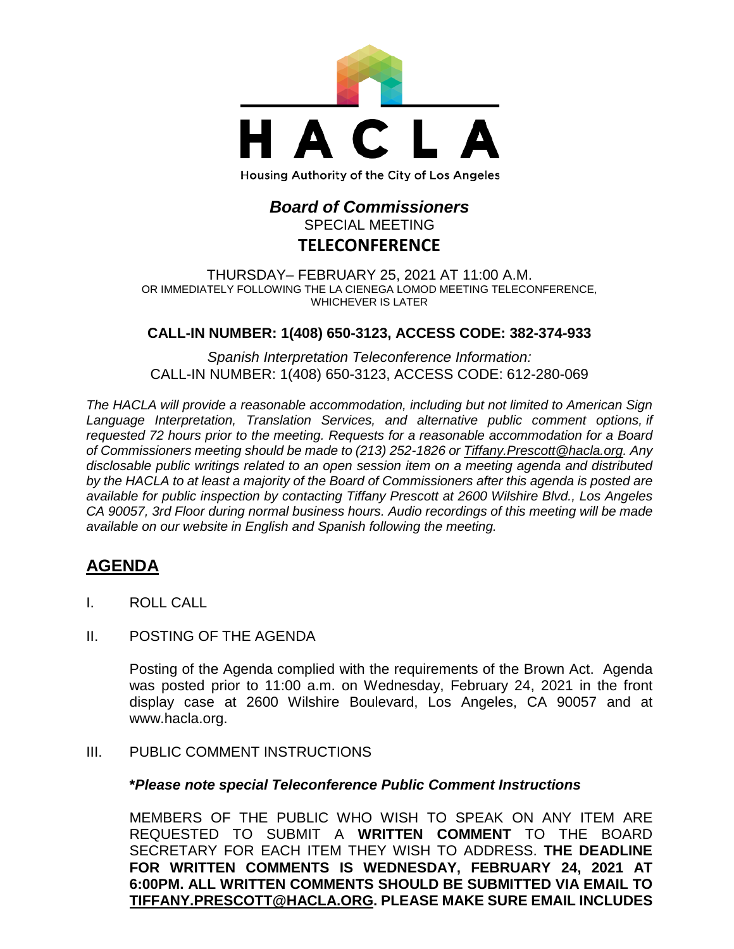

# *Board of Commissioners* SPECIAL MEETING

## **TELECONFERENCE**

THURSDAY– FEBRUARY 25, 2021 AT 11:00 A.M. OR IMMEDIATELY FOLLOWING THE LA CIENEGA LOMOD MEETING TELECONFERENCE, WHICHEVER IS LATER

### **CALL-IN NUMBER: 1(408) 650-3123, ACCESS CODE: 382-374-933**

*Spanish Interpretation Teleconference Information:* CALL-IN NUMBER: 1(408) 650-3123, ACCESS CODE: 612-280-069

*The HACLA will provide a reasonable accommodation, including but not limited to American Sign Language Interpretation, Translation Services, and alternative public comment options, if requested 72 hours prior to the meeting. Requests for a reasonable accommodation for a Board of Commissioners meeting should be made to (213) 252-1826 or Tiffany.Prescott@hacla.org. Any disclosable public writings related to an open session item on a meeting agenda and distributed by the HACLA to at least a majority of the Board of Commissioners after this agenda is posted are available for public inspection by contacting Tiffany Prescott at 2600 Wilshire Blvd., Los Angeles CA 90057, 3rd Floor during normal business hours. Audio recordings of this meeting will be made available on our website in English and Spanish following the meeting.*

## **AGENDA**

- I. ROLL CALL
- II. POSTING OF THE AGENDA

Posting of the Agenda complied with the requirements of the Brown Act. Agenda was posted prior to 11:00 a.m. on Wednesday, February 24, 2021 in the front display case at 2600 Wilshire Boulevard, Los Angeles, CA 90057 and at [www.hacla.org.](http://www.hacla.org/)

#### III. PUBLIC COMMENT INSTRUCTIONS

#### **\****Please note special Teleconference Public Comment Instructions*

MEMBERS OF THE PUBLIC WHO WISH TO SPEAK ON ANY ITEM ARE REQUESTED TO SUBMIT A **WRITTEN COMMENT** TO THE BOARD SECRETARY FOR EACH ITEM THEY WISH TO ADDRESS. **THE DEADLINE FOR WRITTEN COMMENTS IS WEDNESDAY, FEBRUARY 24, 2021 AT 6:00PM. ALL WRITTEN COMMENTS SHOULD BE SUBMITTED VIA EMAIL TO [TIFFANY.PRESCOTT@HACLA.ORG.](mailto:TIFFANY.PRESCOTT@HACLA.ORG) PLEASE MAKE SURE EMAIL INCLUDES**